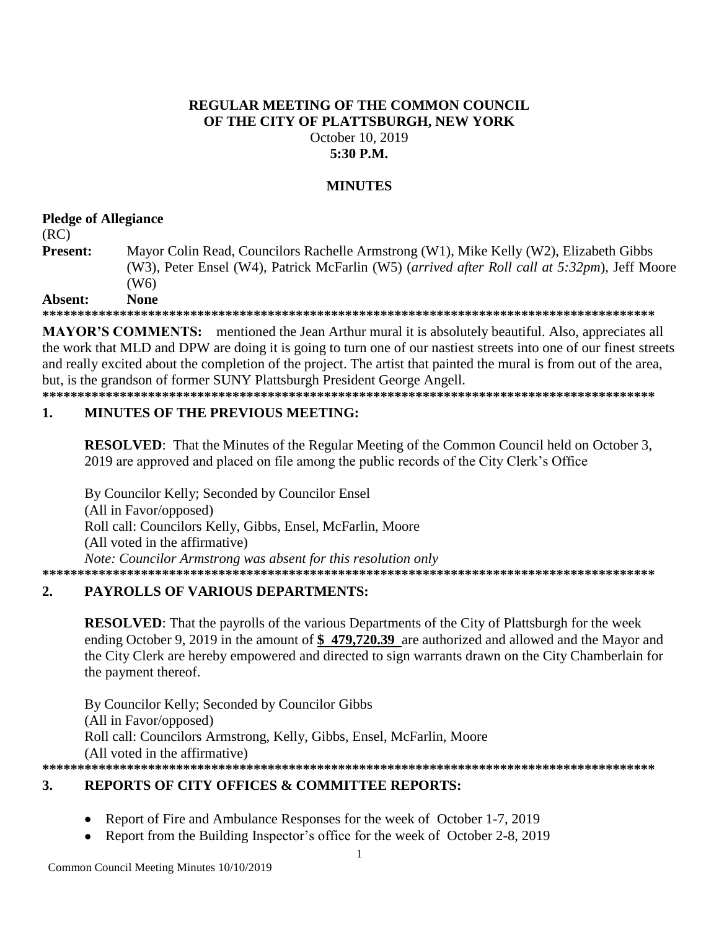### **REGULAR MEETING OF THE COMMON COUNCIL OF THE CITY OF PLATTSBURGH, NEW YORK** October 10, 2019 **5:30 P.M.**

# **MINUTES**

## **Pledge of Allegiance**

(RC)

**Present:** Mayor Colin Read, Councilors Rachelle Armstrong (W1), Mike Kelly (W2), Elizabeth Gibbs (W3), Peter Ensel (W4), Patrick McFarlin (W5) (*arrived after Roll call at 5:32pm*), Jeff Moore (W6)

### **Absent: None**

**\*\*\*\*\*\*\*\*\*\*\*\*\*\*\*\*\*\*\*\*\*\*\*\*\*\*\*\*\*\*\*\*\*\*\*\*\*\*\*\*\*\*\*\*\*\*\*\*\*\*\*\*\*\*\*\*\*\*\*\*\*\*\*\*\*\*\*\*\*\*\*\*\*\*\*\*\*\*\*\*\*\*\*\*\*\*\***

**MAYOR'S COMMENTS:** mentioned the Jean Arthur mural it is absolutely beautiful. Also, appreciates all the work that MLD and DPW are doing it is going to turn one of our nastiest streets into one of our finest streets and really excited about the completion of the project. The artist that painted the mural is from out of the area, but, is the grandson of former SUNY Plattsburgh President George Angell.

**\*\*\*\*\*\*\*\*\*\*\*\*\*\*\*\*\*\*\*\*\*\*\*\*\*\*\*\*\*\*\*\*\*\*\*\*\*\*\*\*\*\*\*\*\*\*\*\*\*\*\*\*\*\*\*\*\*\*\*\*\*\*\*\*\*\*\*\*\*\*\*\*\*\*\*\*\*\*\*\*\*\*\*\*\*\*\***

### **1. MINUTES OF THE PREVIOUS MEETING:**

**RESOLVED:** That the Minutes of the Regular Meeting of the Common Council held on October 3, 2019 are approved and placed on file among the public records of the City Clerk's Office

By Councilor Kelly; Seconded by Councilor Ensel (All in Favor/opposed) Roll call: Councilors Kelly, Gibbs, Ensel, McFarlin, Moore (All voted in the affirmative) *Note: Councilor Armstrong was absent for this resolution only* **\*\*\*\*\*\*\*\*\*\*\*\*\*\*\*\*\*\*\*\*\*\*\*\*\*\*\*\*\*\*\*\*\*\*\*\*\*\*\*\*\*\*\*\*\*\*\*\*\*\*\*\*\*\*\*\*\*\*\*\*\*\*\*\*\*\*\*\*\*\*\*\*\*\*\*\*\*\*\*\*\*\*\*\*\*\*\***

# **2. PAYROLLS OF VARIOUS DEPARTMENTS:**

**RESOLVED**: That the payrolls of the various Departments of the City of Plattsburgh for the week ending October 9, 2019 in the amount of **\$ 479,720.39** are authorized and allowed and the Mayor and the City Clerk are hereby empowered and directed to sign warrants drawn on the City Chamberlain for the payment thereof.

By Councilor Kelly; Seconded by Councilor Gibbs (All in Favor/opposed) Roll call: Councilors Armstrong, Kelly, Gibbs, Ensel, McFarlin, Moore (All voted in the affirmative) **\*\*\*\*\*\*\*\*\*\*\*\*\*\*\*\*\*\*\*\*\*\*\*\*\*\*\*\*\*\*\*\*\*\*\*\*\*\*\*\*\*\*\*\*\*\*\*\*\*\*\*\*\*\*\*\*\*\*\*\*\*\*\*\*\*\*\*\*\*\*\*\*\*\*\*\*\*\*\*\*\*\*\*\*\*\*\***

# **3. REPORTS OF CITY OFFICES & COMMITTEE REPORTS:**

- Report of Fire and Ambulance Responses for the week of October 1-7, 2019
- Report from the Building Inspector's office for the week of October 2-8, 2019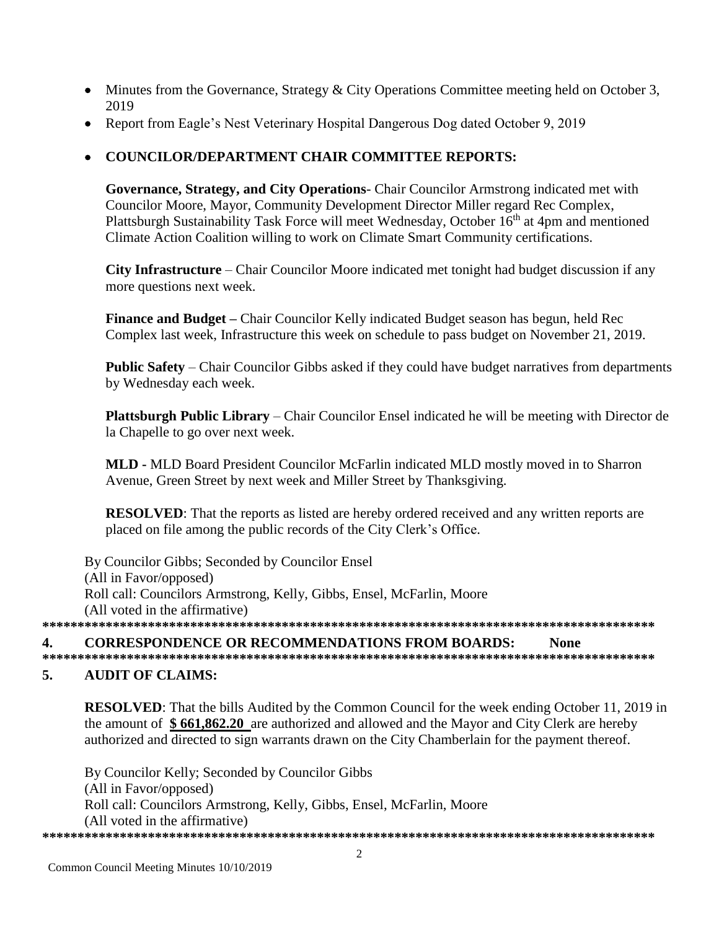- Minutes from the Governance, Strategy & City Operations Committee meeting held on October 3, 2019
- Report from Eagle's Nest Veterinary Hospital Dangerous Dog dated October 9, 2019

# • COUNCILOR/DEPARTMENT CHAIR COMMITTEE REPORTS:

Governance, Strategy, and City Operations- Chair Councilor Armstrong indicated met with Councilor Moore, Mayor, Community Development Director Miller regard Rec Complex, Plattsburgh Sustainability Task Force will meet Wednesday, October 16<sup>th</sup> at 4pm and mentioned Climate Action Coalition willing to work on Climate Smart Community certifications.

**City Infrastructure** – Chair Councilor Moore indicated met tonight had budget discussion if any more questions next week.

Finance and Budget – Chair Councilor Kelly indicated Budget season has begun, held Rec Complex last week, Infrastructure this week on schedule to pass budget on November 21, 2019.

**Public Safety** – Chair Councilor Gibbs asked if they could have budget narratives from departments by Wednesday each week.

**Plattsburgh Public Library** – Chair Councilor Ensel indicated he will be meeting with Director de la Chapelle to go over next week.

MLD - MLD Board President Councilor McFarlin indicated MLD mostly moved in to Sharron Avenue, Green Street by next week and Miller Street by Thanksgiving.

**RESOLVED:** That the reports as listed are hereby ordered received and any written reports are placed on file among the public records of the City Clerk's Office.

By Councilor Gibbs; Seconded by Councilor Ensel (All in Favor/opposed) Roll call: Councilors Armstrong, Kelly, Gibbs, Ensel, McFarlin, Moore (All voted in the affirmative) 

### **CORRESPONDENCE OR RECOMMENDATIONS FROM BOARDS:** 4. **None**

### $5.$ **AUDIT OF CLAIMS:**

**RESOLVED:** That the bills Audited by the Common Council for the week ending October 11, 2019 in the amount of \$661,862.20 are authorized and allowed and the Mayor and City Clerk are hereby authorized and directed to sign warrants drawn on the City Chamberlain for the payment thereof.

By Councilor Kelly; Seconded by Councilor Gibbs (All in Favor/opposed) Roll call: Councilors Armstrong, Kelly, Gibbs, Ensel, McFarlin, Moore (All voted in the affirmative)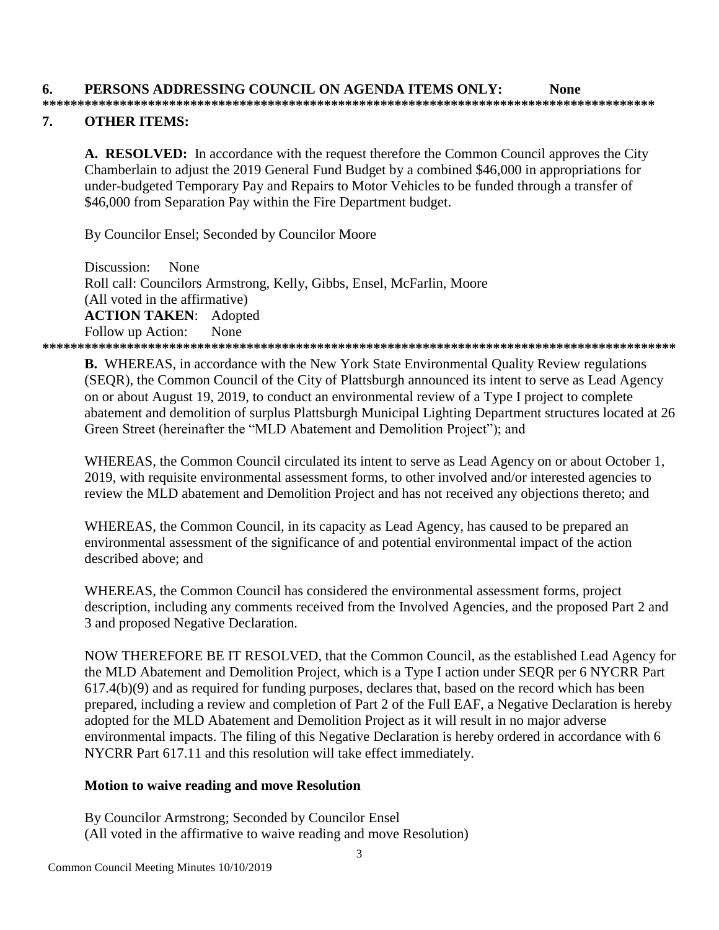### $\overline{7}$ . **OTHER ITEMS:**

A. RESOLVED: In accordance with the request therefore the Common Council approves the City Chamberlain to adjust the 2019 General Fund Budget by a combined \$46,000 in appropriations for under-budgeted Temporary Pay and Repairs to Motor Vehicles to be funded through a transfer of \$46,000 from Separation Pay within the Fire Department budget.

By Councilor Ensel; Seconded by Councilor Moore

Discussion: None Roll call: Councilors Armstrong, Kelly, Gibbs, Ensel, McFarlin, Moore (All voted in the affirmative) **ACTION TAKEN: Adopted** None Follow up Action: 

**B.** WHEREAS, in accordance with the New York State Environmental Ouality Review regulations (SEQR), the Common Council of the City of Plattsburgh announced its intent to serve as Lead Agency on or about August 19, 2019, to conduct an environmental review of a Type I project to complete abatement and demolition of surplus Plattsburgh Municipal Lighting Department structures located at 26 Green Street (hereinafter the "MLD Abatement and Demolition Project"); and

WHEREAS, the Common Council circulated its intent to serve as Lead Agency on or about October 1, 2019, with requisite environmental assessment forms, to other involved and/or interested agencies to review the MLD abatement and Demolition Project and has not received any objections thereto; and

WHEREAS, the Common Council, in its capacity as Lead Agency, has caused to be prepared an environmental assessment of the significance of and potential environmental impact of the action described above: and

WHEREAS, the Common Council has considered the environmental assessment forms, project description, including any comments received from the Involved Agencies, and the proposed Part 2 and 3 and proposed Negative Declaration.

NOW THEREFORE BE IT RESOLVED, that the Common Council, as the established Lead Agency for the MLD Abatement and Demolition Project, which is a Type I action under SEQR per 6 NYCRR Part  $617.4(b)(9)$  and as required for funding purposes, declares that, based on the record which has been prepared, including a review and completion of Part 2 of the Full EAF, a Negative Declaration is hereby adopted for the MLD Abatement and Demolition Project as it will result in no major adverse environmental impacts. The filing of this Negative Declaration is hereby ordered in accordance with 6 NYCRR Part 617.11 and this resolution will take effect immediately.

### Motion to waive reading and move Resolution

By Councilor Armstrong; Seconded by Councilor Ensel (All voted in the affirmative to waive reading and move Resolution)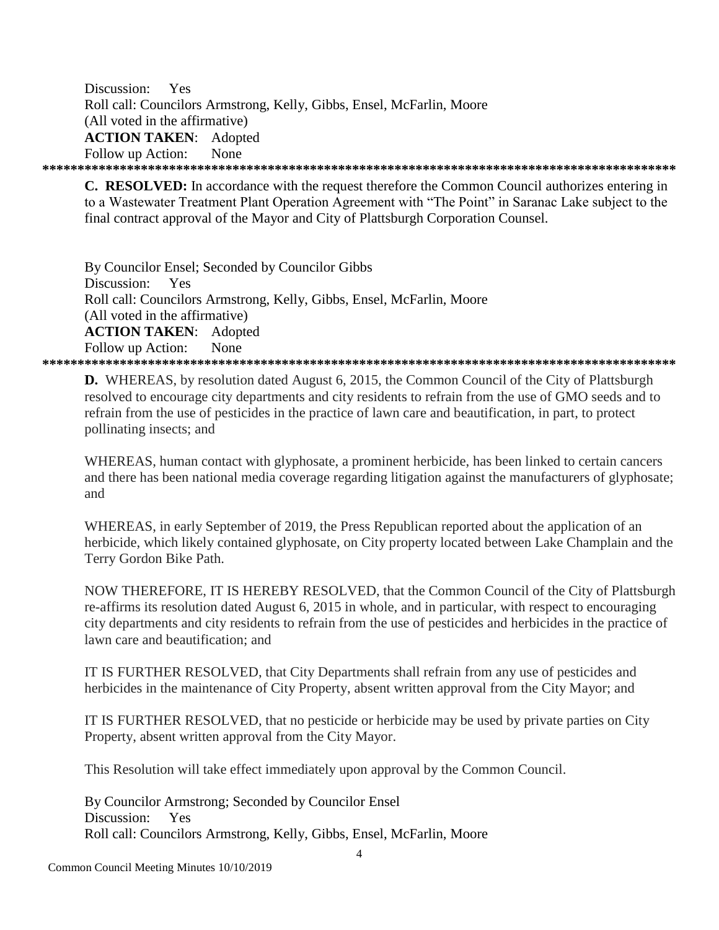Discussion: Yes Roll call: Councilors Armstrong, Kelly, Gibbs, Ensel, McFarlin, Moore (All voted in the affirmative) **ACTION TAKEN: Adopted** Follow up Action: None 

**C. RESOLVED:** In accordance with the request therefore the Common Council authorizes entering in to a Wastewater Treatment Plant Operation Agreement with "The Point" in Saranac Lake subject to the final contract approval of the Mayor and City of Plattsburgh Corporation Counsel.

By Councilor Ensel; Seconded by Councilor Gibbs Discussion: Yes Roll call: Councilors Armstrong, Kelly, Gibbs, Ensel, McFarlin, Moore (All voted in the affirmative) **ACTION TAKEN: Adopted** Follow up Action: **None** 

**D.** WHEREAS, by resolution dated August 6, 2015, the Common Council of the City of Plattsburgh resolved to encourage city departments and city residents to refrain from the use of GMO seeds and to refrain from the use of pesticides in the practice of lawn care and beautification, in part, to protect pollinating insects; and

WHEREAS, human contact with glyphosate, a prominent herbicide, has been linked to certain cancers and there has been national media coverage regarding litigation against the manufacturers of glyphosate; and

WHEREAS, in early September of 2019, the Press Republican reported about the application of an herbicide, which likely contained glyphosate, on City property located between Lake Champlain and the Terry Gordon Bike Path.

NOW THEREFORE, IT IS HEREBY RESOLVED, that the Common Council of the City of Plattsburgh re-affirms its resolution dated August 6, 2015 in whole, and in particular, with respect to encouraging city departments and city residents to refrain from the use of pesticides and herbicides in the practice of lawn care and beautification: and

IT IS FURTHER RESOLVED, that City Departments shall refrain from any use of pesticides and herbicides in the maintenance of City Property, absent written approval from the City Mayor; and

IT IS FURTHER RESOLVED, that no pesticide or herbicide may be used by private parties on City Property, absent written approval from the City Mayor.

This Resolution will take effect immediately upon approval by the Common Council.

By Councilor Armstrong; Seconded by Councilor Ensel Discussion: Yes Roll call: Councilors Armstrong, Kelly, Gibbs, Ensel, McFarlin, Moore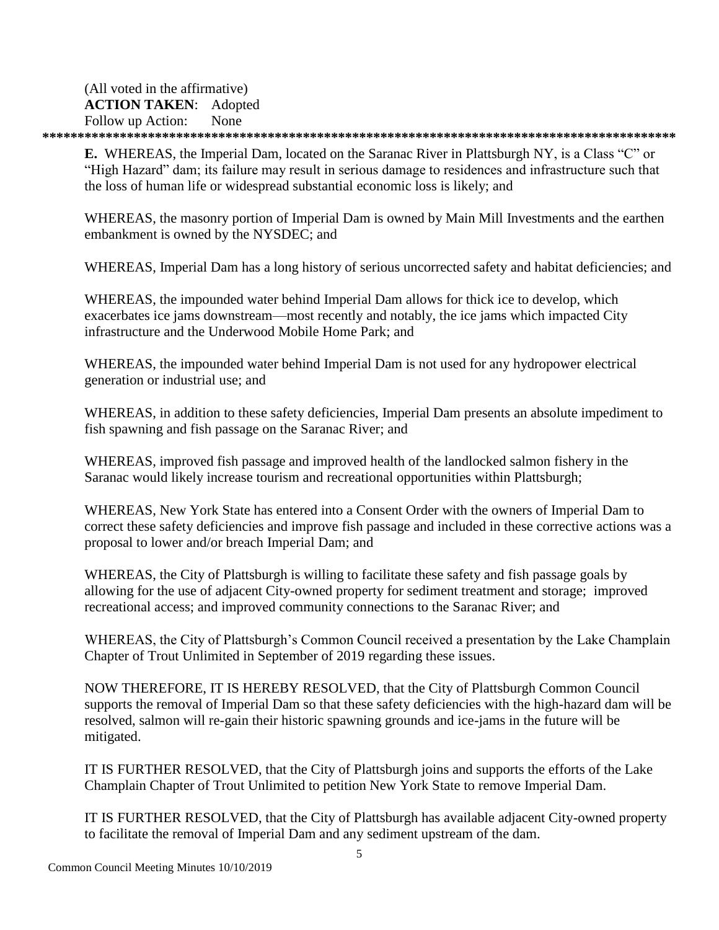(All voted in the affirmative) **ACTION TAKEN**: Adopted Follow up Action: None **\*\*\*\*\*\*\*\*\*\*\*\*\*\*\*\*\*\*\*\*\*\*\*\*\*\*\*\*\*\*\*\*\*\*\*\*\*\*\*\*\*\*\*\*\*\*\*\*\*\*\*\*\*\*\*\*\*\*\*\*\*\*\*\*\*\*\*\*\*\*\*\*\*\*\*\*\*\*\*\*\*\*\*\*\*\*\*\*\*\***

**E.** WHEREAS, the Imperial Dam, located on the Saranac River in Plattsburgh NY, is a Class "C" or "High Hazard" dam; its failure may result in serious damage to residences and infrastructure such that the loss of human life or widespread substantial economic loss is likely; and

WHEREAS, the masonry portion of Imperial Dam is owned by Main Mill Investments and the earthen embankment is owned by the NYSDEC; and

WHEREAS, Imperial Dam has a long history of serious uncorrected safety and habitat deficiencies; and

WHEREAS, the impounded water behind Imperial Dam allows for thick ice to develop, which exacerbates ice jams downstream—most recently and notably, the ice jams which impacted City infrastructure and the Underwood Mobile Home Park; and

WHEREAS, the impounded water behind Imperial Dam is not used for any hydropower electrical generation or industrial use; and

WHEREAS, in addition to these safety deficiencies, Imperial Dam presents an absolute impediment to fish spawning and fish passage on the Saranac River; and

WHEREAS, improved fish passage and improved health of the landlocked salmon fishery in the Saranac would likely increase tourism and recreational opportunities within Plattsburgh;

WHEREAS, New York State has entered into a Consent Order with the owners of Imperial Dam to correct these safety deficiencies and improve fish passage and included in these corrective actions was a proposal to lower and/or breach Imperial Dam; and

WHEREAS, the City of Plattsburgh is willing to facilitate these safety and fish passage goals by allowing for the use of adjacent City-owned property for sediment treatment and storage; improved recreational access; and improved community connections to the Saranac River; and

WHEREAS, the City of Plattsburgh's Common Council received a presentation by the Lake Champlain Chapter of Trout Unlimited in September of 2019 regarding these issues.

NOW THEREFORE, IT IS HEREBY RESOLVED, that the City of Plattsburgh Common Council supports the removal of Imperial Dam so that these safety deficiencies with the high-hazard dam will be resolved, salmon will re-gain their historic spawning grounds and ice-jams in the future will be mitigated.

IT IS FURTHER RESOLVED, that the City of Plattsburgh joins and supports the efforts of the Lake Champlain Chapter of Trout Unlimited to petition New York State to remove Imperial Dam.

IT IS FURTHER RESOLVED, that the City of Plattsburgh has available adjacent City-owned property to facilitate the removal of Imperial Dam and any sediment upstream of the dam.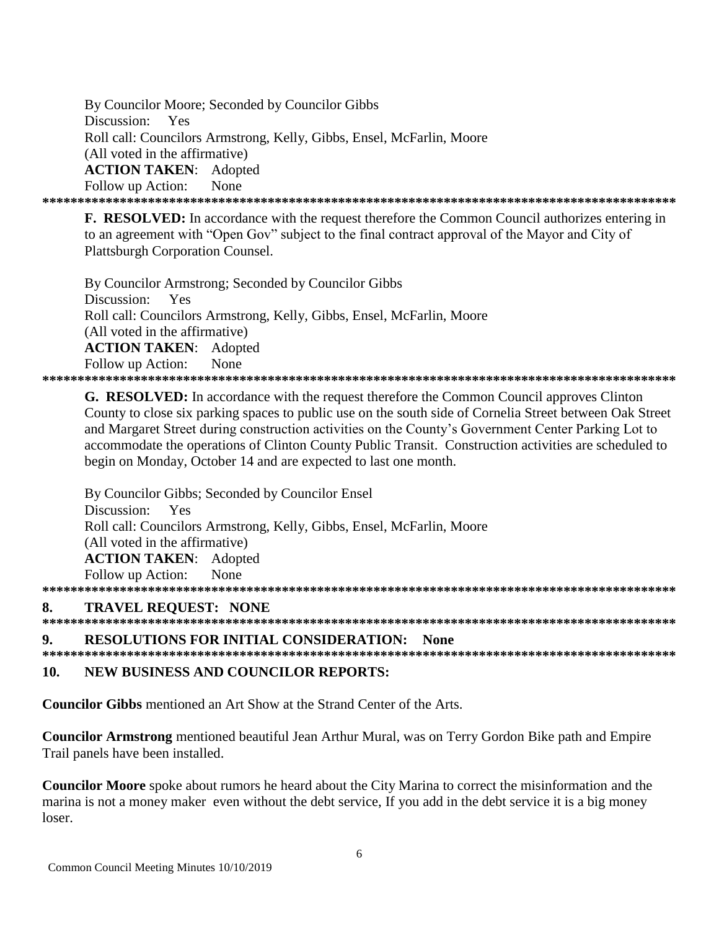By Councilor Moore; Seconded by Councilor Gibbs Discussion: Yes Roll call: Councilors Armstrong, Kelly, Gibbs, Ensel, McFarlin, Moore (All voted in the affirmative) **ACTION TAKEN: Adopted** Follow up Action: None 

**F. RESOLVED:** In accordance with the request therefore the Common Council authorizes entering in to an agreement with "Open Gov" subject to the final contract approval of the Mayor and City of **Plattsburgh Corporation Counsel.** 

By Councilor Armstrong; Seconded by Councilor Gibbs Discussion: Yes Roll call: Councilors Armstrong, Kelly, Gibbs, Ensel, McFarlin, Moore (All voted in the affirmative) **ACTION TAKEN:** Adopted Follow up Action: None 

**G. RESOLVED:** In accordance with the request therefore the Common Council approves Clinton County to close six parking spaces to public use on the south side of Cornelia Street between Oak Street and Margaret Street during construction activities on the County's Government Center Parking Lot to accommodate the operations of Clinton County Public Transit. Construction activities are scheduled to begin on Monday, October 14 and are expected to last one month.

By Councilor Gibbs; Seconded by Councilor Ensel Discussion: Yes Roll call: Councilors Armstrong, Kelly, Gibbs, Ensel, McFarlin, Moore (All voted in the affirmative) **ACTION TAKEN:** Adopted Follow up Action: None 

### **TRAVEL REQUEST: NONE** 8.

9. **RESOLUTIONS FOR INITIAL CONSIDERATION: None** 

NEW BUSINESS AND COUNCILOR REPORTS:  $10.$ 

**Councilor Gibbs** mentioned an Art Show at the Strand Center of the Arts.

**Councilor Armstrong** mentioned beautiful Jean Arthur Mural, was on Terry Gordon Bike path and Empire Trail panels have been installed.

Councilor Moore spoke about rumors he heard about the City Marina to correct the misinformation and the marina is not a money maker even without the debt service. If you add in the debt service it is a big money loser.